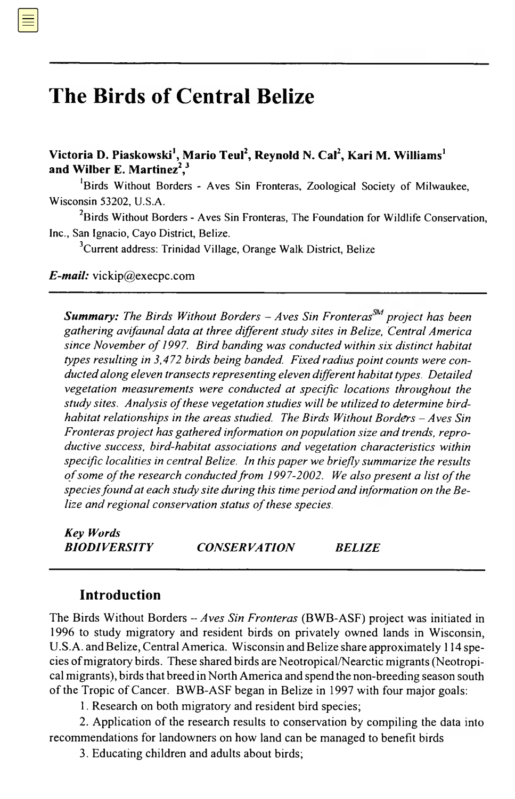# **The Birds of Central Belize**

 $V$ ictoria D. Piaskowski<sup>1</sup>, Mario Teul<sup>2</sup>, Reynold N. Cal<sup>2</sup>, Kari M. Williams<sup>1</sup> **and Wilber E. Martinez2,3**

 $<sup>1</sup>$ Birds Without Borders - Aves Sin Fronteras, Zoological Society of Milwaukee,</sup> Wisconsin 53202, U.S.A.

<sup>2</sup>Birds Without Borders - Aves Sin Fronteras, The Foundation for Wildlife Conservation, Inc., San Ignacio, Cayo District, Belize.

<sup>3</sup>Current address: Trinidad Village, Orange Walk District, Belize

 $E$ -mail: [vickip@execpc.com](mailto:vickip%40execpc.com)

**Summary:** The Birds Without Borders  $-A$ ves Sin Fronteras<sup>SM</sup> project has been gathering avifaunal data at three different study sites in Belize, Central America since November of 1997. Bird banding was conducted within six distinct habitat types resulting in 3,472 birds being banded. Fixed radius point counts were conducted along eleven transects representing eleven different habitat types. Detailed vegetation measurements were conducted at specific locations throughout the study sites. Analysis of these vegetation studies will be utilized to determine birdhabitat relationships in the areas studied. The Birds Without Borders — Aves Sin Fronteras project has gathered information on population size and trends, reproductive success, bird–habitat associations and vegetation characteristics within specific localities in central Belize. In this paper we briefly summarize the results of some of the research conducted from 1997-2002. We also present a list of the species found at each study site during this time period and information on the Belize and regional conservation status of these species.

**Keywords** CONSERVATION BELIZE

#### **Introduction**

The Birds Without Borders — *Aves Sin Fronteras* (BWB–ASF) project was initiated in 1996 to study migratory and resident birds on privately owned lands in Wisconsin, U.S.A. and Belize, Central America. Wisconsin and Belize share approximately 114 species ofmigratory birds. These shared birds are Neotropical/Nearctic migrants (Neotropical migrants), birds that breed in North America and spend the non-breeding season south of the Tropic of Cancer. BWB-ASF began in Belize in 1997 with four major goals:

1. Research on both migratory and resident bird species;

2. application of the research results to conservation by compiling the data into recommendations for landowners on how land can be managed to benefit birds;

3. Educating children and adults about birds;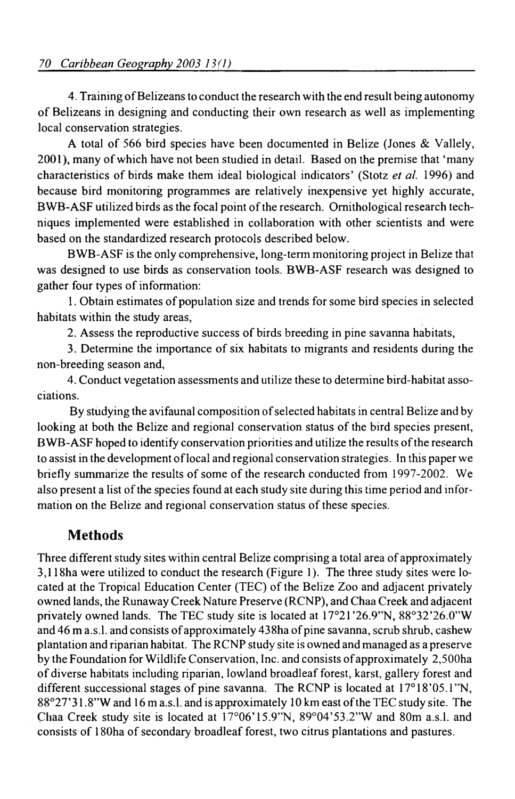4. Training of Belizeans to conduct the research with the end result being autonomy of Belizeans in designing and conducting their own research as well as implementing local conservation strategies.

A total of 566 bird species have been documented in Belize (Jones & Vallely 2001), many ofwhich have not been studied in detail. Based on the premise that 'many characteristics of birds make them ideal biological indicators' (Stotz *et al.* 1996) and because bird-monitoring programmes are relatively inexpensive yet highly accurate, BWB-ASF utilized birds as the focal point of the research. Ornithological research techniques implemented were established in collaboration with other scientists and were based on the standardized research protocols described below.

BWB–ASF is the only comprehensive, long-term monitoring project in Belize that was designed to use birds as conservation tools. BWB–ASF research was designed to gather four types of information:

1. Obtain estimates of population size and trends for some bird species in selected habitats within the study areas;

2. Assess the reproductive success of birds breeding in pine savanna habitats,

3. Determine the importance of six habitats to migrants and residents during the non-breeding season and,

4. conduct vegetation assessments and utilize these to determine bird–habitat associations.

By studying the avifaunal composition of selected habitats in central Belize and by looking at both the Belize and regional conservation status of the bird species present, BWB–ASF hoped to identify conservation priorities and utilize the results ofthe research to assist in the development oflocal and regional conservation strategies. In this paperwe briefly summarize the results of some of the research conducted from 1997-2002. We also present a list of the species found at each study site during this time period and information on the Belize and regional conservation status of these species.

# **Methods**

Three different study sites within central Belize comprising a total area of approximately 3118ha were utilized to conduct the research (Figure 1). The three study sites were located at the Tropical Education Center (TEC) of the Belize Zoo and adjacent privately owned lands, the Runaway Creek Nature Preserve (RCNP), and Chaa Creek and adjacent privately owned lands. The TEC study site is located at 17°21'26.9" N, 88°32'26.0" W and 46 m a.s.l. and consists of approximately 438ha of pine savanna, scrub shrub, cashew plantation and riparian habitat. The RCNP study site is owned andmanaged as a preserve by the Foundation for Wildlife Conservation, Inc. and consists of approximately 2,500ha of diverse habitats including riparian, lowland broadleaf forest, karst, gallery forest and different successional stages of pine savanna. The RCNP is located at 17°18'05.1"N, 88°27'31.8" W and <sup>16</sup> ma.s.l. and is approximately <sup>10</sup> km east ofthe TEC study site. The Chaa Creek study site is located at 17°06'15.9" N, 89°04' 53.2" W and 80m a.s.l. and consists of 180ha of secondary broadleaf forest, two citrus plantations and pastures.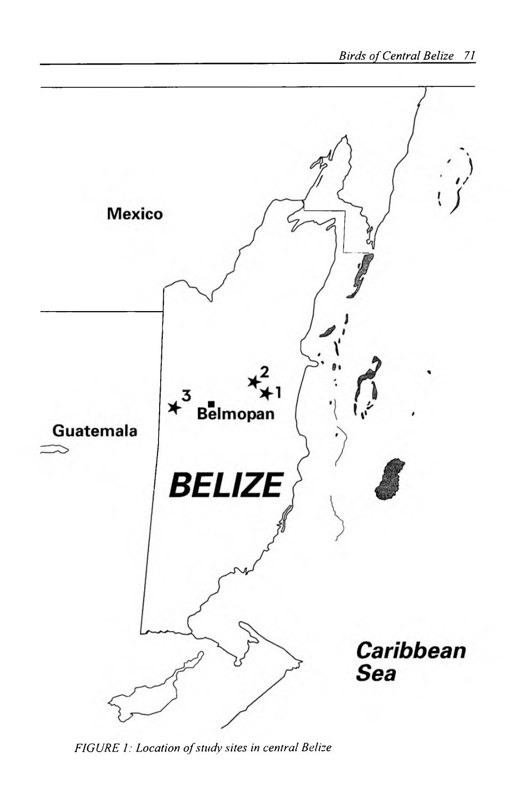

FIGURE 1: Location of study sites in central Belize.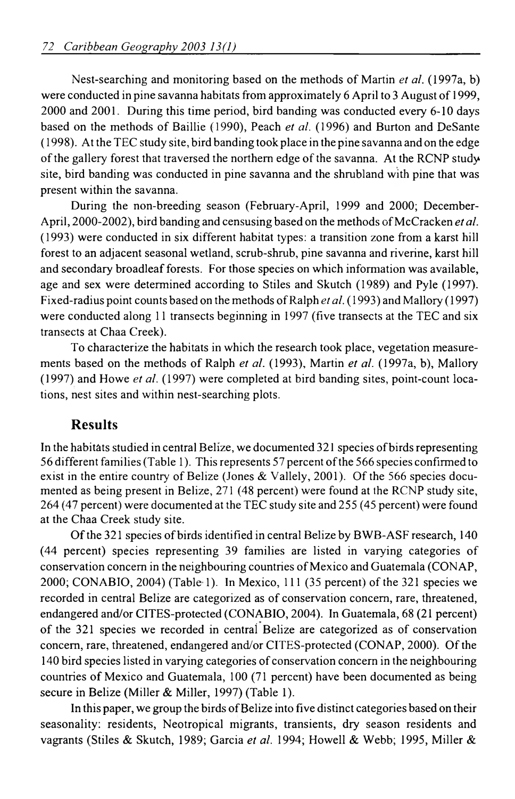Nest-searching and monitoring based on the methods of Martin *et al.* (1997a, b) were conducted in pine savanna habitats from approximately 6 April to 3 August of 1999, 2000 and 2001. During this time period, bird banding was conducted every 6–10 days, based on the methods of Baillie (1990), Peach *et al.* (1996) and Burton and DeSante (1998). At the TEC study site, bird banding took place in the pine savanna and on the edge of the gallery forest that traversed the northern edge of the savanna. At the RCNP study site, bird banding was conducted in pine savanna and the shrubland with pine that was present within the savanna.

During the non-breeding season (February-April, 1999 and 2000; December-April, 2000-2002), bird banding and censusing based on the methods of McCracken *et al.* (1993) were conducted in six different habitat types: a transition zone from a karst hill forest to an adjacent seasonal wetland; scrub-shrub; pine savanna and riverine; karst hill; and secondary broadleafforests. For those species on which information was available, age and sex were determined according to Stiles and Skutch (1989) and Pyle (1997). Fixed-radius point counts based on the methods ofRalph *et al.* (1993) and Mallory (1997) were conducted along 11 transects beginning in 1997 (five transects at the TEC and six transects at Chaa Creek).

To characterize the habitats in which the research took place, vegetation measurements based on the methods of Ralph *et al.* (1993), Martin *et al.* (1997a, b), Mallory (1997) and Howe *et al.* (1997) were completed at bird banding sites, point-count locations, nest sites and within nest-searching plots.

# **Results**

In the habitats studied in central Belize, we documented 321 species of birds representing 56 different families(Table 1). Thisrepresents 57 percent ofthe 566 species confirmed to exist in the entire country of Belize (Jones & Vallely, 2001). Of the 566 species documented as being present in Belize, 271 (48 percent) were found at the RCNP study site, 264 (47 percent) were documented at the TEC study site and 255 (45 percent) were found at the Chaa Creek study site.

Ofthe 321 species ofbirds identified in central Belize by BWB–ASF research, 140 (44 percent) species representing 39 families are listed in varying categories of conservation concern in the neighbouring countries of Mexico and Guatemala (CONAP, 2000; CONABIO, 2004) (Table 1). In Mexico,  $111$  (35 percent) of the 321 species we recorded in central Belize are categorized as of conservation concern, rare, threatened, endangered and/or CITES-protected (CONABIO, 2004). In Guatemala, 68 (21 percent) of the 321 species we recorded in central Belize are categorized as of conservation concern, rare, threatened, endangered and/or CITES-protected (CONAP, 2000). Ofthe 140 bird species listed in varying categories of conservation concern in the neighboring countries of Mexico and Guatemala, 100 (71 percent) have been documented as being secure in Belize (Miller & Miller, 1997) (Table 1).

In this paper, we group the birds of Belize into five distinct categories based on their seasonality: residents, Neotropical migrants, transients, dry-season residents and vagrants (Stiles & Skutch, 1989; Garcia et al. 1994; Howell & Webb; 1995, Miller &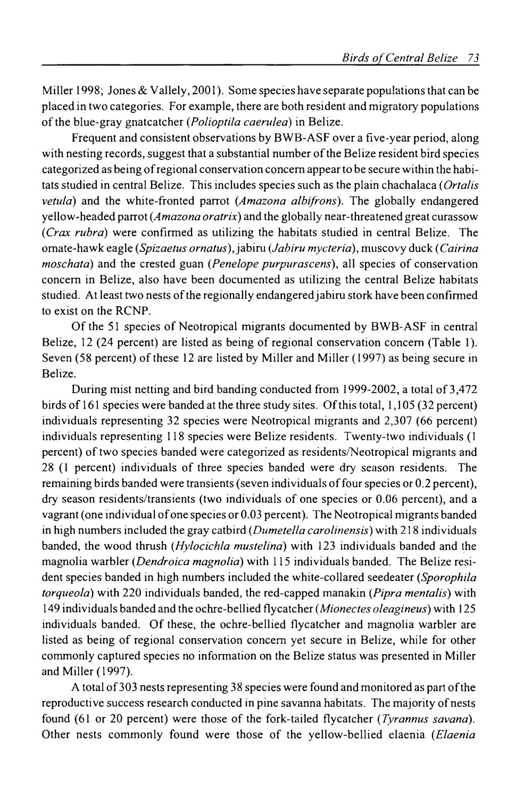Miller 1998; Jones & Vallely, 2001). Some species have separate populations that can be placed in two categories. For example, there are both resident and migratory populations of the blue-gray gnatcatcher (*Polioptila caerulea*) in Belize.

Frequent and consistent observations by BWB–ASF over a five-year period, along with nesting records, suggest that a substantial number ofthe Belize resident bird species categorized as being ofregional conservation concern appearto be secure within the habitats studied in central Belize. This includes species such as the Plain Chachalaca (*Ortalis vetula*) and the White-fronted Parrot (*Amazona albifrons*). The globally endangered yellow-headed parrot (*Amazona oratrix*) and the globally near-threatened great curassow (*Crax rubra*) were confirmed as utilizing the habitats studied in central Belize. The  $omate$ -hawk eagle (*Spizaetus ornatus*), jabiru (*Jabiru mycteria*), muscovy duck (*Cairina moschata*) and the crested guan (*Penelope purpurascens*), all species of conservation concern in Belize, also have been documented as utilizing the central Belize habitats studied. At least two nests of the regionally endangered jabiru stork have been confirmed to exist on the RCNP.

Of the 51 species of Neotropical migrants documented by BWB–ASF in central Belize, 12 (24 percent) are listed as being of regional conservation concern (Table 1). Seven (58 percent) of these 12 are listed by Miller and Miller (1997) as being secure in Belize.

During mist netting and bird banding conducted from 1999-2002, a total of 3,472 birds of 161 species were banded at the three study sites. Of this total, 1,105 (32 percent) individuals representing 32 species were Neotropical migrants and 2307 (66 percent) individuals representing 118 species were Belize residents. Twenty-two individuals (1 percent) of two species banded were categorized as residents/Neotropical migrants and <sup>28</sup> (1 percent) individuals of three species banded were dry-season residents. The remaining birds banded were transients (seven individuals of four species or 0.2 percent), dry-season residents/transients (two individuals of one species or 0.06 percent), and a vagrant (one individual ofone species or 0.03 percent). The Neotropical migrants banded in high numbers included the gray catbird (*Dumetella carolinensis*) with 218 individuals banded, the Wood Thrush (*Hylocichla mustelina*),with 123 individuals banded and the magnolia warbler (*Dendroica magnolia*) with 115 individuals banded. The Belize resident species banded in high numbers included the White-collared Seedeater (*Sporophila torqueola*) with 220 individuals banded, the red-capped manakin (*Pipra mentalis*) with 149 individuals banded,and the Ochre-bellied Flycatcher (*Mionectes oleagineus*),with 125 individuals banded. Of these, the ochre-bellied flycatcher and magnolia warbler are listed as being of regional conservation concern yet secure in Belize, while for other commonly captured species no information on the Belize status was presented in Miller and Miller (1997).

A total of303 nests representing 38 species were found and monitored as part ofthe reproductive success research conducted in pine savanna habitats. The majority of nests found (61, or 20 percent) were those of the Fork-tailed Flycatcher (*Tyrannus savana*). Other nests commonly found were those of the Yellow-bellied Elaenia (*Elaenia*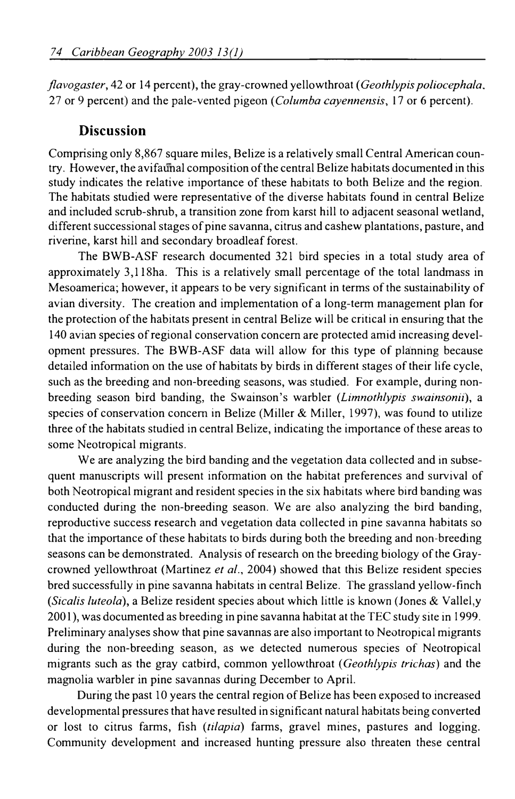*flavogaster*, 42 or 14 percent), the gray-crowned yellowthroat (*Geothlypis poliocephala*, 27 or 9 percent) and the pale-vented pigeon (*Columba cayennensis*, 17 or 6 percent).

#### **Discussion**

Comprising only 8,867 square miles, Belize is a relatively small Central American country. However, the avifaunal composition of the central Belize habitats documented in this study indicates the relative importance of these habitats to both Belize and the region. The habitats studied were representative of the diverse habitats found in central Belize and included scrub–shrub, a transition zone from karst hill to adjacent seasonal wetland, different successional stages of pine savanna, citrus and cashew plantations, pasture, and riverine, karst hill and secondary broadleaf forest.

The BWB–ASF research documented 321 bird species in a total study area of approximately 3118ha. This is a relatively small percentage of the total landmass in Mesoamerica; however, it appears to be very significant in terms of the sustainability of avian diversity. The creation and implementation of a long-term management plan for the protection of the habitats present in central Belize will be critical in ensuring that the 140 avian species ofregional conservation concern are protected amid increasing development pressures. The BWB–ASF data will allow for this type of planning because detailed information on the use of habitats by birds in different stages of their life cycle, such as the breeding and non-breeding seasons, was studied. For example, during nonbreeding season bird banding, the Swainson's Warbler (*Limnothlypis swainsonii*), a species of conservation concern in Belize (Miller  $&$  Miller, 1997), was found to utilize three ofthe habitats studied in central Belize, indicating the importance ofthese areas to some Neotropical migrants.

We are analyzing the bird banding and the vegetation data collected and in subsequent manuscripts will present information on the habitat preferences and survival of both Neotropical migrant and resident species in the six habitats where bird banding was conducted during the non-breeding season. We are also analyzing the bird-banding, reproductive success research and vegetation data collected in pine savanna habitats so that the importance of these habitats to birds during both the breeding and non-breeding seasons can be demonstrated. Analysis ofresearch on the breeding biology ofthe Graycrowned Yellowthroat (Martinez *et al.* 2004) showed that this Belize resident species bred successfully in pine savanna habitats in central Belize. The grassland yellow-finch (*Sicalis luteola*), a Belize resident species about which little is known (Jones & Vallely 2001), was documented as breeding in pine–savanna habitat at the TEC study site in 1999. Preliminary analyses show that pine savannas are also important to Neotropical migrants during the non-breeding season, as we detected numerous species of Neotropical migrants such as the Gray Catbird, Common Yellowthroat (*Geothlypis trichas*) and the magnolia warbler in pine savannas during December to April.

During the past 10 years the central region of Belize has been exposed to increased developmental pressuresthat have resulted in significant natural habitats being converted or lost to citrus farms, fish (*Tilapia*) farms, gravel mines, pastures and logging. Community development and increased hunting pressure also threaten these central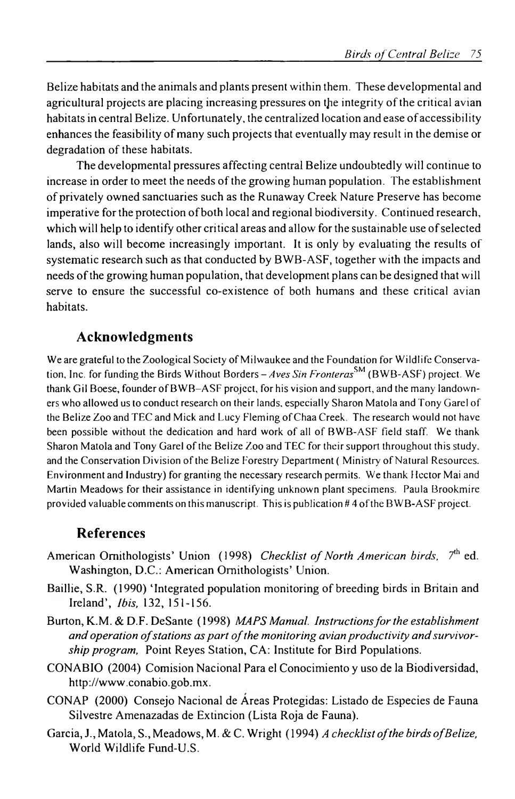Belize habitats and the animals and plants present within them. These developmental and agricultural projects are placing increasing pressures on the integrity ofthe critical avian habitats in central Belize. Unfortunately, the centralized location and ease of accessibility enhances the feasibility of many such projects that eventually may result in the demise or degradation of these habitats.

The developmental pressures affecting central Belize undoubtedly will continue to increase in order to meet the needs ofthe growing human population. The establishment of privately owned sanctuaries such as the Runaway Creek Nature Preserve has become imperative forthe protection ofboth local and regional biodiversity. Continued research, which will help to identify other critical areas and allow for the sustainable use ofselected lands, also will become increasingly important. It is only by evaluating the results of systematic research such as that conducted by BWB–ASF, together with the impacts and needs ofthe growing human population, that development plans can be designed that will serve to ensure the successful co-existence of both humans and these critical avian habitats.

# **Acknowledgments**

We are grateful to the Zoological Society of Milwaukee and the Foundation for Wildlife Conservation, Inc. for funding the Birds Without Borders — *Aves Sin Fronteras™* (BWB–ASF) project. We thank Gil Boese, founder ofBWB–ASF project, for his vision and support, and the many landowners who allowed us to conduct research on their lands, especially Sharon Matola and Tony Garel of the Belize Zoo and TEC and Mick and Lucy Fleming of Chaa Creek. The research would not have been possible without the dedication and hard work of all of BWB–ASF field staff. We thank Sharon Matola and Tony Garel of the Belize Zoo and TEC for their support throughout this study, and the Conservation Division of the Belize Forestry Department (Ministry of Natural Resources, Environment and Industry) for granting the necessary research permits. We thank Hector Mai and Martin Meadows for their assistance in identifying unknown plant specimens. Paula Brookmire provided valuable comments on this manuscript. This is publication #4 ofthe BWB–ASF project.

### **References**

- American Ornithologists' Union (1998) *Checklist of North American birds*, 7<sup>th</sup> ed. Washington, D.C.: American Ornithologists' Union.
- Baillie, S.R. (1990) 'Integrated population monitoring of breeding birds in Britain and Ireland. *Ibis*, **<sup>132</sup>**: 151–156.
- Burton, K.M. & D.F. DeSante (1998) *MAPS Manual. Instructionsforthe establishment* and *operation* of stations as part of the monitoring *avian productivity* and survivor*ship program,* Point Reyes Station, CA: Institute for Bird Populations.
- CONABIO (2004) Comisión Nacional Para el Conocimiento y uso de la Biodiversidad. <http://www.conabio.gob.mx>.
- CONAP (2000) Consejo Nacional de Áreas Protegidas: Listado de Especies de Fauna Silvestre Amenazadas de Extinción (Lista Roja de Fauna).
- Garcia, J., Matola, S., Meadows, M. & C. Wright (1994) *A checklistofthe birds ofBelize.* World Wildlife Fund-U.S.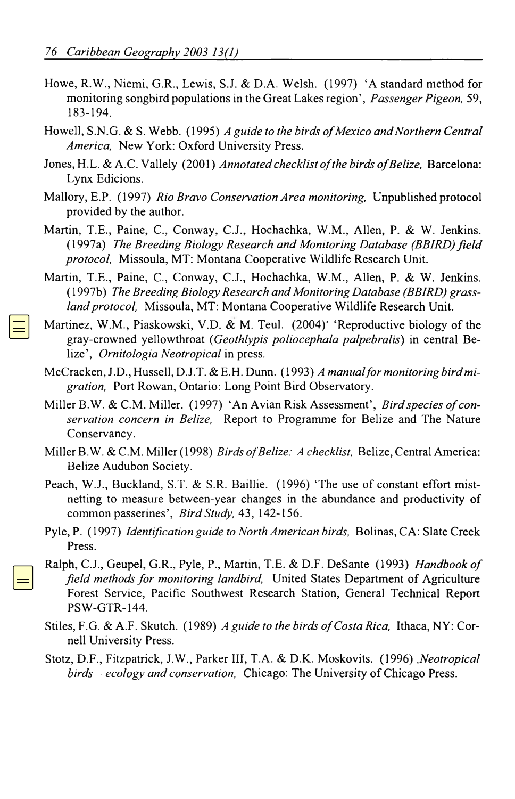- Howe, R.W., Niemi, G.R., Lewis, S.J. & D.A. Welsh.  $(1997)$  'A standard method for monitoring songbird populations in the Great Lakes region', *Passenger Pigeon*, 59, 183–194.
- Howell, S.N.G. & S. Webb. (1995) *A Guide to the Birds ofMexico andNorthern Central America,* New York: Oxford University Press.
- Jones, H.L. & A.C. Vallely (2001) *Annotated checklist of the birds of Belize*, Barcelona: Lynx Edicions.
- Mallory, E.P. (1997) *Rio Bravo Conservation Area monitoring,* Unpublished protocol provided by the author.
- Martin, T.E., Paine, C., Conway, C.J., Hochachka, W.M., Allen, P. & W. Jenkins. (1997a) *The Breeding Biology Research and Monitoring Database (BBIRD)field protocol*. Missoula, MT: Montana Cooperative Wildlife Research Unit.
- Martin, T.E., Paine, C., Conway, C.J., Hochachka, W.M., Allen, P. & W. Jenkins. (1997b) *The Breeding Biology Research and MonitoringDatabase (BBIRD) grassland protocol.* Missoula, MT: Montana Cooperative Wildlife Research Unit.
- Martinez, W.M., Piaskowski, V.D. & M. Teul.  $(2004)$  'Reproductive biology of the Gray-crowned Yellowthroat (*Geothlypis poliocephala palpebralis*) in central Belize', *Ornitología Neotropical* in press.
- McCracken,J.D.,Hussell, D.J.T. & E.H. Dunn. (1993) *A manualformonitoring birdmigration*. Port Rowan, Ontario: Long Point Bird Observatory.
- Miller B.W. & C.M. Miller. (1997) 'An Avian Risk Assessment', *Birdspecies ofconservation concern in Belize*. Report to Programme for Belize and The Nature Conservancy.
- Miller B.W. & C.M. Miller (1998) *Birds ofBelize: a Checklist*. Belize, Central America: Belize Audubon Society.
- Peach, W.J., Buckland, S.T. & S.R. Baillie. (1996) The use of constant effort mistnetting to measure between-year changes in the abundance and productivity of common passerines. *Bird Study,* **<sup>43</sup>**: 142–156.
- Pyle, P. (1997) *Identification Guide to North American Birds*. Bolinas, CA: Slate Creek Press.
- Ralph, C.J., Geupel, G.R., Pyle, P., Martin, T.E. & D.F. DeSante (1993) *Handbook of Field Methodsfor Monitoring Landbirds*. United States Department of Agriculture Forest Service, Pacific Southwest Research Station, General Technical Report PSW-GTR-144.
- Stiles, F.G. & A.F. Skutch. (1989) *A Guide to the Birds ofCosta Rica.* Ithaca, NY: Cornell University Press.
- Stotz, D.F., Fitzpatrick, J.W., Parker III, T.A. & D.K.. Moskovits. (1996) *Neotropical Birds — Ecology and Conservation.* Chicago: The University ofChicago Press.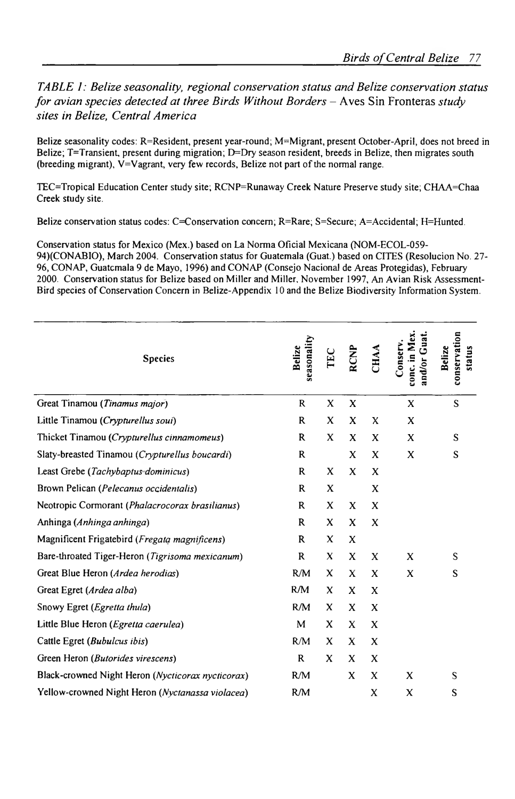**TABLE 1: Belize seasonality, regional conservation status and Belize conservation status** for avian species detected at three Birds Without Borders  $-$  Aves Sin Fronteras study sites in Belize, Central America

Belize seasonality codes: R=Resident, present year-round; M=Migrant, present October-April, does not breed in Belize; T=Transient, present during migration; D=Dry season resident, breeds in Belize, then migrates south (breeding migrant),  $V = V$ agrant, very few records, Belize not part of the normal range.

TEC = Tropical Education Center study site; RCNP= Runaway Creek Nature Preserve study site; CHAA=Chaa Creek study site.

Belize conservation status codes: C=Conservation concern; R=Rare; S=Secure; A=Accidental; H=Hunted.

Conservation status for Mexico (Mex.) based on La Norma Oficial Mexicana (NOM-ECOL-059- 94)(CONABIO), March 2004. Conservation status for Guatemala (Guat.) based on CITES (Resolución No. 27-96, CONAP, Guatcmala 9 de Mayo, 1996) and CONAP (Consejo Nacional de Areas Protegidas), February 2000. Conservation status for Belize based on Miller and Miller, November 1997, An Avian Risk Assessment-Bird species of Conservation Concern in Belize-Appendix 10 and the Belize Biodiversity Information System.

| <b>Species</b>                                    | seasonality<br>Belize | EC | <b>RCNP</b> | <b>CHAA</b> | Guat.<br>conc. in Mex<br>Jonserv.<br>and/or | conservation<br>Belize<br>status |
|---------------------------------------------------|-----------------------|----|-------------|-------------|---------------------------------------------|----------------------------------|
| Great Tinamou (Tinamus major)                     | R                     | X  | X           |             | X                                           | S                                |
| Little Tinamou (Crypturellus soui)                | R                     | X  | x           | X           | X                                           |                                  |
| Thicket Tinamou (Crypturellus cinnamomeus)        | R                     | X  | X           | X           | X                                           | S                                |
| Slaty-breasted Tinamou (Crypturellus boucardi)    | R                     |    | X           | X           | x                                           | S                                |
| Least Grebe (Tachybaptus-dominicus)               | R                     | X  | X           | X           |                                             |                                  |
| Brown Pelican (Pelecanus occidentalis)            | R                     | X  |             | X           |                                             |                                  |
| Neotropic Cormorant (Phalacrocorax brasilianus)   | R                     | X  | X           | X           |                                             |                                  |
| Anhinga (Anhinga anhinga)                         | R                     | X  | X           | X           |                                             |                                  |
| Magnificent Frigatebird (Fregata magnificens)     | R                     | X  | X           |             |                                             |                                  |
| Bare-throated Tiger-Heron (Tigrisoma mexicanum)   | $\mathbf R$           | X  | X           | X           | X                                           | S                                |
| Great Blue Heron (Ardea herodias)                 | R/M                   | X  | X           | X           | X                                           | S                                |
| Great Egret (Ardea alba)                          | R/M                   | X  | X           | X           |                                             |                                  |
| Snowy Egret (Egretta thula)                       | RM                    | X  | X           | X           |                                             |                                  |
| Little Blue Heron ( <i>Egretta caerulea</i> )     | M                     | X  | X           | X           |                                             |                                  |
| Cattle Egret (Bubulcus ibis)                      | RM                    | X  | X           | X           |                                             |                                  |
| Green Heron (Butorides virescens)                 | R                     | X  | X           | X           |                                             |                                  |
| Black-crowned Night Heron (Nycticorax nycticorax) | R/M                   |    | X           | X           | X                                           | S                                |
| Yellow-crowned Night Heron (Nyctanassa violacea)  | RM                    |    |             | X           | X                                           | S                                |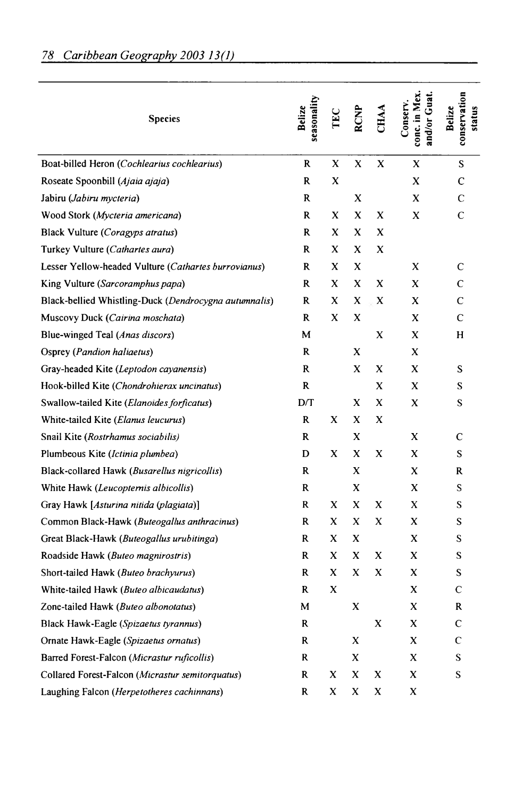| <b>Species</b>                                        | seasonality<br>Belize | TEC | <b>RCNP</b> | <b>CHAA</b> | conc. in Mex.<br>and/or Guat<br>Conserv. | conservation<br>Belize<br>status |
|-------------------------------------------------------|-----------------------|-----|-------------|-------------|------------------------------------------|----------------------------------|
| Boat-billed Heron (Cochlearius cochlearius)           | R                     | X   | X           | X           | X                                        | S                                |
| Roseate Spoonbill (Ajaia ajaja)                       | R                     | X   |             |             | x                                        | $\mathbf C$                      |
| Jabiru (Jabiru mycteria)                              | R                     |     | X           |             | X                                        | C                                |
| Wood Stork (Mycteria americana)                       | R                     | X   | X           | X           | x                                        | $\mathsf{C}$                     |
| Black Vulture (Coragyps atratus)                      | R                     | X   | x           | x           |                                          |                                  |
| Turkey Vulture (Cathartes aura)                       | R                     | X   | X           | X           |                                          |                                  |
| Lesser Yellow-headed Vulture (Cathartes burrovianus)  | R                     | x   | x           |             | X                                        | C                                |
| King Vulture (Sarcoramphus papa)                      | R                     | x   | X           | X           | X                                        | C                                |
| Black-bellied Whistling-Duck (Dendrocygna autumnalis) | R                     | x   | x           | X           | X                                        | C                                |
| Muscovy Duck (Cairina moschata)                       | R                     | X   | X           |             | X                                        | C                                |
| Blue-winged Teal (Anas discors)                       | M                     |     |             | X           | X                                        | H                                |
| Osprey (Pandion haliaetus)                            | R                     |     | x           |             | X                                        |                                  |
| Gray-headed Kite (Leptodon cayanensis)                | R                     |     | X           | x           | X                                        | S                                |
| Hook-billed Kite (Chondrohierax uncinatus)            | R                     |     |             | X           | X                                        | S                                |
| Swallow-tailed Kite (Elanoides forficatus)            | DT                    |     | X           | X           | X                                        | S                                |
| White-tailed Kite (Elanus leucurus)                   | R                     | X   | x           | x           |                                          |                                  |
| Snail Kite (Rostrhamus sociabilis)                    | R                     |     | X           |             | X                                        | $\mathbf C$                      |
| Plumbeous Kite (Ictinia plumbea)                      | D                     | X   | X           | X           | X                                        | S                                |
| Black-collared Hawk (Busarellus nigricollis)          | R                     |     | X           |             | x                                        | R                                |
| White Hawk (Leucoptemis albicollis)                   | R                     |     | X           |             | X                                        | S                                |
| Gray Hawk [Asturina nitida (plagiata)]                | R                     | X   | X           | x           | X                                        | S                                |
| Common Black-Hawk (Buteogallus anthracinus)           | R                     | x   | X           | X           | x                                        | S                                |
| Great Black-Hawk (Buteogallus urubitinga)             | R                     | X   | X           |             | X                                        | S                                |
| Roadside Hawk (Buteo magnirostris)                    | R                     | X   | X           | X           | X                                        | S                                |
| Short-tailed Hawk (Buteo brachyurus)                  | R                     | X   | X           | X           | X                                        | S                                |
| White-tailed Hawk (Buteo albicaudatus)                | R                     | x   |             |             | X                                        | $\mathbf C$                      |
| Zone-tailed Hawk (Buteo albonotatus)                  | м                     |     | X           |             | X                                        | R                                |
| Black Hawk-Eagle (Spizaetus tyrannus)                 | R                     |     |             | X           | X                                        | $\mathbf C$                      |
| Ornate Hawk-Eagle (Spizaetus ornatus)                 | R                     |     | X           |             | X                                        | $\mathsf{C}$                     |
| Barred Forest-Falcon (Micrastur ruficollis)           | R                     |     | x           |             | X                                        | S                                |
| Collared Forest-Falcon (Micrastur semitorquatus)      | R                     | x   | X           | X           | X                                        | S                                |
| Laughing Falcon (Herpetotheres cachinnans)            | R                     | X   | x           | x           | X                                        |                                  |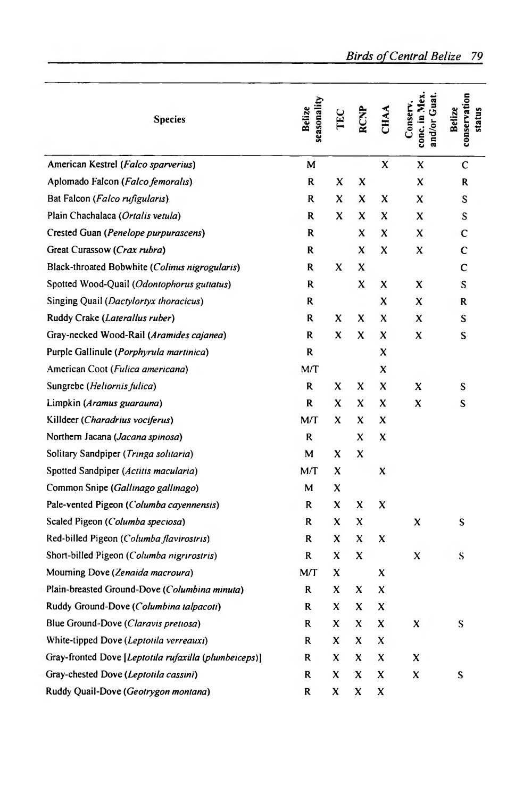| <b>Species</b>                                        | seasonality<br>Belize | TEC | <b>RCNP</b> | <b>CHAA</b> | conc. in Mex<br>and/or Guat<br>.onserv. | conservation<br>Belize<br>status |
|-------------------------------------------------------|-----------------------|-----|-------------|-------------|-----------------------------------------|----------------------------------|
| American Kestrel (Falco sparverius)                   | M                     |     |             | X           | X                                       | C                                |
| Aplomado Falcon (Falco femoralis)                     | R                     | x   | x           |             | X                                       | R                                |
| Bat Falcon (Falco rufigularis)                        | R                     | X   | X           | X           | x                                       | S                                |
| Plain Chachalaca (Ortalis vetula)                     | R                     | X   | x           | X           | x                                       | S                                |
| Crested Guan (Penelope purpurascens)                  | R                     |     | x           | X           | X                                       | C                                |
| Great Curassow (Crax rubra)                           | R                     |     | X           | x           | X                                       | Ċ                                |
| Black-throated Bobwhite (Colinus nigrogularis)        | R                     | X   | X           |             |                                         | C                                |
| Spotted Wood-Quail (Odontophorus guttatus)            | R                     |     | X           | X           | X                                       | S                                |
| Singing Quail (Dactylortyx thoracicus)                | R                     |     |             | X           | x                                       | R                                |
| Ruddy Crake (Laterallus ruber)                        | R                     | X   | x           | x           | x                                       | S                                |
| Gray-necked Wood-Rail (Aramides cajanea)              | R                     | X   | X           | X           | x                                       | S                                |
| Purple Gallinule (Porphyrula martinica)               | R                     |     |             | X           |                                         |                                  |
| American Coot (Fulica americana)                      | MT                    |     |             | X           |                                         |                                  |
| Sungrebe ( <i>Heliornis fulica</i> )                  | R                     | X   | X           | X           | x                                       | S                                |
| Limpkin (Aramus guarauna)                             | R                     | X   | x           | x           | x                                       | S                                |
| Killdeer (Charadrius vociferus)                       | M/T                   | X   | X           | x           |                                         |                                  |
| Northern Jacana (Jacana spinosa)                      | R                     |     | X           | X           |                                         |                                  |
| Solitary Sandpiper (Tringa solitaria)                 | М                     | X   | x           |             |                                         |                                  |
| Spotted Sandpiper (Actitis macularia)                 | M/T                   | X   |             | X           |                                         |                                  |
| Common Snipe (Gallinago gallinago)                    | М                     | x   |             |             |                                         |                                  |
| Pale-vented Pigeon (Columba cayennensis)              | R                     | x   | x           | X           |                                         |                                  |
| Scaled Pigeon (Columba speciosa)                      | R                     | x   | x           |             | x                                       | S                                |
| Red-billed Pigeon (Columba flavirostris)              | R                     | x   | X           | X           |                                         |                                  |
| Short-billed Pigeon (Columba nigrirostris)            | R                     | x   | X           |             | x                                       | S                                |
| Mourning Dove (Zenaida macroura)                      | MЛ                    | x   |             | X           |                                         |                                  |
| Plain-breasted Ground-Dove (Columbina minuta)         | R                     | x   | x           | X           |                                         |                                  |
| Ruddy Ground-Dove (Columbina talpacoti)               | R                     | x   | X           | x           |                                         |                                  |
| Blue Ground-Dove (Claravis pretiosa)                  | R                     | x   | X           | X           | X                                       | S                                |
| White-tipped Dove (Leptotila verreauxi)               | R                     | x   | x           | x           |                                         |                                  |
| Gray-fronted Dove [Leptotila rufaxilla (plumbeiceps)] | R                     | x   | X           | X           | x                                       |                                  |
| Gray-chested Dove (Leptotila cassini)                 | R                     | X   | x           | X           | X                                       | S                                |
| Ruddy Quail-Dove (Geotrygon montana)                  | R                     | x   | x           | X           |                                         |                                  |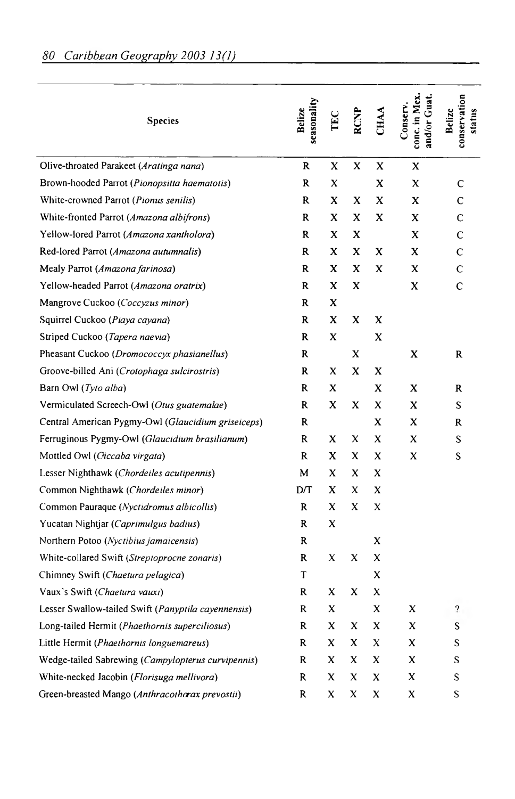| seasonality<br>Belize | TEC | <b>RCNP</b> | <b>CHAA</b> | conc. in Mex<br>and/or Guat<br>Conserv. | conservation<br>Belize<br>status |
|-----------------------|-----|-------------|-------------|-----------------------------------------|----------------------------------|
| R                     | x   | x           | x           | X                                       |                                  |
| R                     | x   |             | x           | X                                       | C                                |
| R                     | X   | X           | X           | X                                       | $\mathsf{C}$                     |
| R                     | X   | X           | x           | X                                       | C                                |
| R                     | X   | x           |             | x                                       | C                                |
| R                     | X   | X           | X           | x                                       | $\mathbf C$                      |
| R                     | x   | x           | X           | x                                       | C                                |
| R                     | X   | x           |             | X                                       | C                                |
| R                     | x   |             |             |                                         |                                  |
| R                     | X   | X           | X           |                                         |                                  |
| R                     | X   |             | x           |                                         |                                  |
| R                     |     | X           |             | X                                       | $\mathbf{R}$                     |
| R                     | X   | x           | X           |                                         |                                  |
| R                     | x   |             | X           | X                                       | R                                |
| R                     | x   | X           | x           | x                                       | S                                |
| R                     |     |             | X           | X                                       | R                                |
| R                     | X   | x           | X           | X                                       | S.                               |
| R                     | X   | x           | X           | X                                       | S                                |
| M                     | X   | x           | x           |                                         |                                  |
| D/T                   | X   | X           | x           |                                         |                                  |
| R                     | X   | X           | X           |                                         |                                  |
| R                     | x   |             |             |                                         |                                  |
| R                     |     |             | X           |                                         |                                  |
| R                     | X   | X           | X           |                                         |                                  |
| T                     |     |             | X           |                                         |                                  |
| R                     | x   | x           | x           |                                         |                                  |
| R                     | x   |             | x           | X                                       | $\overline{?}$                   |
| R                     | x   | X           | x           | X                                       | S                                |
| R                     | X   | X           | x           | X                                       | S                                |
| R                     | X   | X           | x           | X                                       | S                                |
| R                     | X   | X           | x           | x                                       | S                                |
| R                     | x   | $\mathbf x$ | X           | X                                       | S                                |
|                       |     |             |             |                                         |                                  |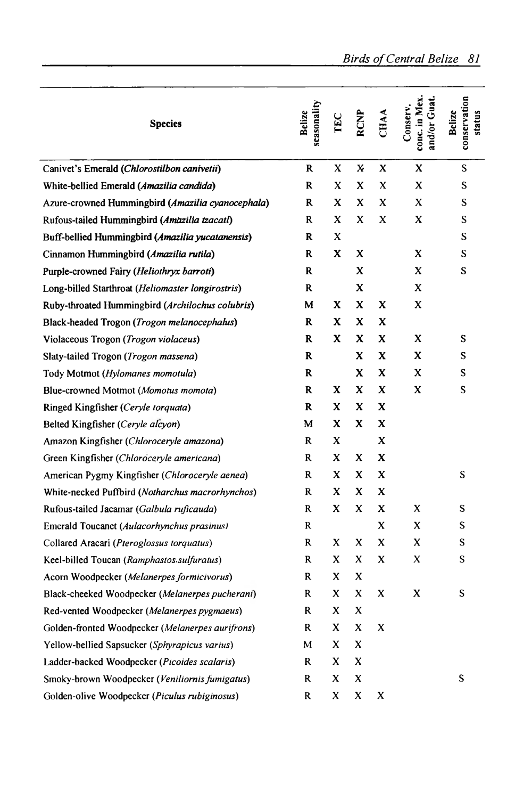| <b>Species</b>                                    | seasonality<br>Belize | TEC | <b>RCNP</b> | <b>CHAA</b> | conc. in Mex.<br>und/or Guat.<br>Conserv. | conservation<br>Belize<br>status |
|---------------------------------------------------|-----------------------|-----|-------------|-------------|-------------------------------------------|----------------------------------|
| Canivet's Emerald (Chlorostilbon canivetii)       | R                     | X   | X.          | X           | X                                         | S                                |
| White-bellied Emerald (Amazilia candida)          | R                     | X   | X           | X           | X                                         | S                                |
| Azure-crowned Hummingbird (Amazilia cyanocephala) | R                     | X   | x           | X           | X                                         | S                                |
| Rufous-tailed Hummingbird (Amazilia tzacatl)      | R                     | X   | X           | X           | X                                         | S                                |
| Buff-bellied Hummingbird (Amazilia yucatanensis)  | R                     | X   |             |             |                                           | S                                |
| Cinnamon Hummingbird (Amazilia rutila)            | R                     | X   | X           |             | X                                         | S                                |
| Purple-crowned Fairy (Heliothryx barroti)         | $\mathbf R$           |     | X           |             | X                                         | S                                |
| Long-billed Starthroat (Heliomaster longirostris) | $\mathbf R$           |     | x           |             | X                                         |                                  |
| Ruby-throated Hummingbird (Archilochus colubris)  | M                     | X   | x           | X           | X                                         |                                  |
| Black-headed Trogon (Trogon melanocephalus)       | R                     | x   | x           | X           |                                           |                                  |
| Violaceous Trogon (Trogon violaceus)              | R                     | x   | X           | X           | X                                         | S                                |
| Slaty-tailed Trogon (Trogon massena)              | R                     |     | X           | X           | X                                         | S                                |
| Tody Motmot (Hylomanes momotula)                  | R                     |     | X           | X           | X                                         | S                                |
| Blue-crowned Motmot (Momotus momota)              | R                     | X   | X           | X           | X                                         | S                                |
| Ringed Kingfisher (Ceryle torquata)               | R                     | X   | X           | X           |                                           |                                  |
| Belted Kingfisher (Ceryle alcyon)                 | M                     | X   | X           | X           |                                           |                                  |
| Amazon Kingfisher (Chloroceryle amazona)          | R                     | x   |             | X           |                                           |                                  |
| Green Kingfisher (Chloroceryle americana)         | R                     | X   | X           | X           |                                           |                                  |
| American Pygmy Kingfisher (Chloroceryle aenea)    | R                     | X   | X           | X           |                                           | S                                |
| White-necked Puffbird (Notharchus macrorhynchos)  | R                     | X   | X           | X           |                                           |                                  |
| Rufous-tailed Jacamar (Galbula ruficauda)         | R                     | X   | x           | X           | X                                         | S                                |
| Emerald Toucanet (Aulacorhynchus prasinus)        | R                     |     |             | X           | X                                         | S                                |
| Collared Aracari (Pteroglossus torquatus)         | R                     | X   | X           | X           | X                                         | S                                |
| Keel-billed Toucan (Ramphastos sulfuratus)        | R                     | X   | x           | X           | X                                         | S                                |
| Acorn Woodpecker (Melanerpes formicivorus)        | R                     | x   | X           |             |                                           |                                  |
| Black-cheeked Woodpecker (Melanerpes pucherani)   | R                     | X   | X           | X           | X                                         | S                                |
| Red-vented Woodpecker (Melanerpes pygmaeus)       | R                     | x   | X           |             |                                           |                                  |
| Golden-fronted Woodpecker (Melanerpes aurifrons)  | R                     | X   | X           | X           |                                           |                                  |
| Yellow-bellied Sapsucker (Sphyrapicus varius)     | М                     | x   | X           |             |                                           |                                  |
| Ladder-backed Woodpecker (Picoides scalaris)      | R                     | x   | x           |             |                                           |                                  |
| Smoky-brown Woodpecker (Veniliornis fumigatus)    | R                     | x   | X           |             |                                           | S                                |
| Golden-olive Woodpecker (Piculus rubiginosus)     | R                     | X   | X           | X           |                                           |                                  |

*Birds ofCentral Belize 81*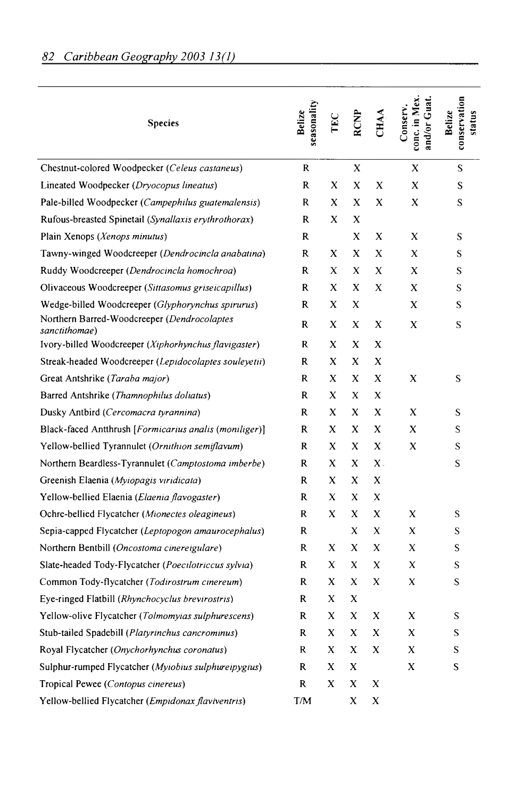| <b>Species</b>                                               | seasonality<br>Belize | TEC | <b>RCNP</b> | <b>CHAA</b> | conc. in Mex<br>and/or Guat<br>Conserv. | conservation<br>Belize<br>status |
|--------------------------------------------------------------|-----------------------|-----|-------------|-------------|-----------------------------------------|----------------------------------|
| Chestnut-colored Woodpecker (Celeus castaneus)               | R                     |     | X           |             | X                                       | S                                |
| Lineated Woodpecker (Dryocopus lineatus)                     | R                     | X   | X           | X           | X                                       | S                                |
| Pale-billed Woodpecker (Campephilus guatemalensis)           | R                     | X   | X           | X           | X                                       | S                                |
| Rufous-breasted Spinetail (Synallaxis erythrothorax)         | R                     | X   | X           |             |                                         |                                  |
| Plain Xenops (Xenops minutus)                                | R                     |     | X           | X           | X                                       | S                                |
| Tawny-winged Woodcreeper (Dendrocincla anabatina)            | R                     | X   | x           | X           | X                                       | S                                |
| Ruddy Woodcreeper (Dendrocincla homochroa)                   | R                     | X   | X           | X           | X                                       | S                                |
| Olivaceous Woodcreeper (Sittasomus griseicapillus)           | R                     | x   | x           | X           | X                                       | S                                |
| Wedge-billed Woodcreeper (Glyphorynchus spirurus)            | R                     | X   | X           |             | X                                       | S                                |
| Northern Barred-Woodcreeper (Dendrocolaptes<br>sanctithomae) | R                     | X   | X           | X           | X                                       | S                                |
| Ivory-billed Woodcreeper (Xiphorhynchus flavigaster)         | R                     | X   | X           | X           |                                         |                                  |
| Streak-headed Woodcreeper (Lepidocolaptes souleyetii)        | R                     | X   | X           | X           |                                         |                                  |
| Great Antshrike (Taraba major)                               | R                     | X   | X           | X           | X                                       | S                                |
| Barred Antshrike (Thamnophilus doliatus)                     | R                     | X   | X           | X           |                                         |                                  |
| Dusky Antbird (Cercomacra tyrannina)                         | R                     | X   | X           | x           | X                                       | S                                |
| Black-faced Antthrush [Formicarius analis (moniliger)]       | R                     | X   | X           | X           | X                                       | S                                |
| Yellow-bellied Tyrannulet (Ornithion semiflavum)             | R                     | X   | X           | X           | X                                       | S                                |
| Northern Beardless-Tyrannulet (Camptostoma imberbe)          | R                     | X   | X           | $X$ .       |                                         | S                                |
| Greenish Elaenia (Myiopagis viridicata)                      | R                     | x   | X           | X           |                                         |                                  |
| Yellow-bellied Elaenia ( <i>Elaenia flavogaster</i> )        | R                     | X   | X           | X           |                                         |                                  |
| Ochre-bellied Flycatcher (Mionectes oleagineus)              | R                     | X   | x           | x           | X                                       | S                                |
| Sepia-capped Flycatcher (Leptopogon amaurocephalus)          | R                     |     | X           | X           | X                                       | S                                |
| Northern Bentbill (Oncostoma cinereigulare)                  | R                     | x   | x           | X           | X                                       | S                                |
| Slate-headed Tody-Flycatcher (Poecilotriccus sylvia)         | R                     | X   | X           | X           | X                                       | S                                |
| Common Tody-flycatcher (Todirostrum cinereum)                | R                     | X   | X           | X           | X                                       | S                                |
| Eye-ringed Flatbill (Rhynchocyclus brevirostris)             | R                     | X   | X           |             |                                         |                                  |
| Yellow-olive Flycatcher (Tolmomyias sulphurescens)           | R                     | X   | X           | X           | X                                       | S                                |
| Stub-tailed Spadebill (Platyrinchus cancrominus)             | R                     | X   | X           | X           | X                                       | S                                |
| Royal Flycatcher (Onychorhynchus coronatus)                  | R                     | X   | X           | x           | X                                       | S                                |
| Sulphur-rumped Flycatcher (Myiobius sulphureipygius)         | R                     | X   | X           |             | X                                       | S                                |
| Tropical Pewee (Contopus cinereus)                           | R                     | X   | X           | X           |                                         |                                  |
| Yellow-bellied Flycatcher (Empidonax flaviventris)           | T/M                   |     | X           | X           |                                         |                                  |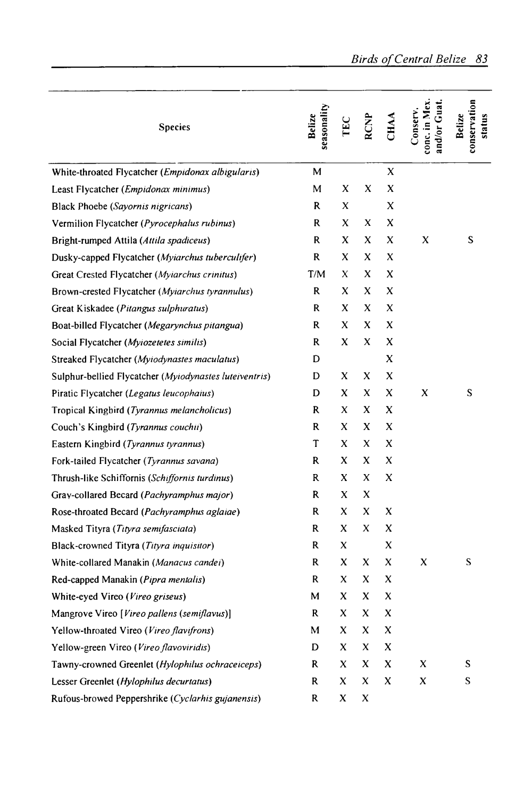| <b>Species</b>                                         | seasonality<br>Belize | TEC | <b>RCNP</b> | CHAA | conc. in Mex<br>ind/or Guat<br>onserv. | conservation<br>Belize<br>status |
|--------------------------------------------------------|-----------------------|-----|-------------|------|----------------------------------------|----------------------------------|
| White-throated Flycatcher (Empidonax albigularis)      | M                     |     |             | X    |                                        |                                  |
| Least Flycatcher ( <i>Empidonax minimus</i> )          | М                     | x   | x           | X    |                                        |                                  |
| Black Phoebe (Sayornis nigricans)                      | R                     | X   |             | x    |                                        |                                  |
| Vermilion Flycatcher (Pyrocephalus rubinus)            | R                     | X   | X           | x    |                                        |                                  |
| Bright-rumped Attila (Attila spadiceus)                | R                     | X   | x           | x    | X                                      | S                                |
| Dusky-capped Flycatcher (Myiarchus tuberculifer)       | $\mathbf R$           | x   | x           | x    |                                        |                                  |
| Great Crested Flycatcher (Myiarchus crinitus)          | T/M                   | X   | x           | x    |                                        |                                  |
| Brown-crested Flycatcher (Myiarchus tyrannulus)        | R                     | X   | X           | x    |                                        |                                  |
| Great Kiskadee (Pitangus sulphuratus)                  | R                     | x   | x           | x    |                                        |                                  |
| Boat-billed Flycatcher (Megarynchus pitangua)          | R                     | X   | X           | X    |                                        |                                  |
| Social Flycatcher (Myiozetetes similis)                | R                     | X   | X           | x    |                                        |                                  |
| Streaked Flycatcher (Myiodynastes maculatus)           | D                     |     |             | X    |                                        |                                  |
| Sulphur-bellied Flycatcher (Myiodynastes luteiventris) | D                     | X   | X           | x    |                                        |                                  |
| Piratic Flycatcher (Legatus leucophaius)               | D                     | x   | X           | X    | x                                      | S                                |
| Tropical Kingbird (Tyrannus melancholicus)             | R                     | X   | X           | x    |                                        |                                  |
| Couch's Kingbird (Tyrannus couchii)                    | R                     | X   | X           | X    |                                        |                                  |
| Eastern Kingbird (Tyrannus tyrannus)                   | T                     | x   | x           | X    |                                        |                                  |
| Fork-tailed Flycatcher (Tyrannus savana)               | R                     | x   | x           | x    |                                        |                                  |
| Thrush-like Schiffornis (Schiffornis turdinus)         | R                     | X   | X           | X    |                                        |                                  |
| Gray-collared Becard (Pachyramphus major)              | R                     | X   | X           |      |                                        |                                  |
| Rose-throated Becard (Pachyramphus aglaiae)            | R                     | x   | X           | X    |                                        |                                  |
| Masked Tityra (Tityra semifasciata)                    | R                     | x   | x           | X    |                                        |                                  |
| Black-crowned Tityra (Tityra inquisitor)               | R                     | X   |             | X    |                                        |                                  |
| White-collared Manakin (Manacus candei)                | R                     | x   | x           | X    | x                                      | S                                |
| Red-capped Manakin (Pipra mentalis)                    | R                     | x   | x           | x    |                                        |                                  |
| White-eyed Vireo (Vireo griseus)                       | М                     | x   | x           | x    |                                        |                                  |
| Mangrove Vireo [Vireo pallens (semiflavus)]            | R                     | x   | X           | x    |                                        |                                  |
| Yellow-throated Vireo (Vireo flavifrons)               | М                     | x   | X           | X    |                                        |                                  |
| Yellow-green Vireo (Vireo flavoviridis)                | D                     | x   | X           | x    |                                        |                                  |
| Tawny-crowned Greenlet (Hylophilus ochraceiceps)       | R                     | x   | X           | x    | X                                      | S                                |
| Lesser Greenlet (Hylophilus decurtatus)                | R                     | x   | X           | x    | X                                      | S                                |
| Rufous-browed Peppershrike (Cyclarhis gujanensis)      | R                     | x   | X           |      |                                        |                                  |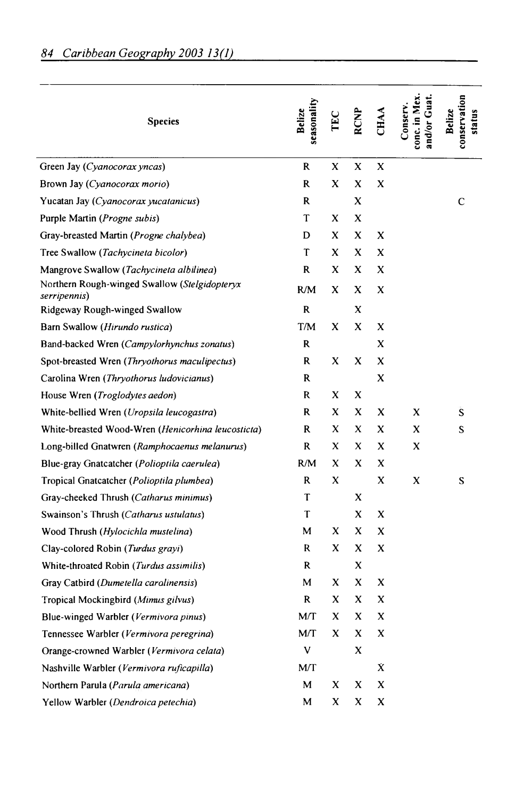| <b>Species</b>                                                | seasonality<br>Belize | TEC | <b>RCNP</b> | CHAA | onc. in Mex.<br>and/or Guat<br>Conserv. | conservation<br>Belize<br>status |
|---------------------------------------------------------------|-----------------------|-----|-------------|------|-----------------------------------------|----------------------------------|
| Green Jay (Cyanocorax yncas)                                  | R                     | X   | x           | X    |                                         |                                  |
| Brown Jay (Cyanocorax morio)                                  | R                     | x   | X           | X    |                                         |                                  |
| Yucatan Jay (Cyanocorax yucatanicus)                          | R                     |     | x           |      |                                         | C                                |
| Purple Martin ( <i>Progne subis</i> )                         | T                     | X   | X           |      |                                         |                                  |
| Gray-breasted Martin (Progne chalybea)                        | D                     | X   | X           | X    |                                         |                                  |
| Tree Swallow (Tachycineta bicolor)                            | T                     | x   | x           | X    |                                         |                                  |
| Mangrove Swallow (Tachycineta albilinea)                      | R                     | x   | x           | x    |                                         |                                  |
| Northern Rough-winged Swallow (Stelgidopteryx<br>serripennis) | R/M                   | x   | X           | x    |                                         |                                  |
| Ridgeway Rough-winged Swallow                                 | R                     |     | X           |      |                                         |                                  |
| Barn Swallow (Hirundo rustica)                                | T/M                   | X   | X           | X    |                                         |                                  |
| Band-backed Wren (Campylorhynchus zonatus)                    | R                     |     |             | X    |                                         |                                  |
| Spot-breasted Wren (Thryothorus maculipectus)                 | R                     | x   | x           | x    |                                         |                                  |
| Carolina Wren (Thryothorus ludovicianus)                      | R                     |     |             | X    |                                         |                                  |
| House Wren (Troglodytes aedon)                                | R                     | X   | x           |      |                                         |                                  |
| White-bellied Wren (Uropsila leucogastra)                     | R.                    | X   | X           | x    | x                                       | S                                |
| White-breasted Wood-Wren (Henicorhina leucosticta)            | R                     | X   | X           | X    | x                                       | S                                |
| Long-billed Gnatwren (Ramphocaenus melanurus)                 | R                     | x   | x           | x    | x                                       |                                  |
| Blue-gray Gnatcatcher (Polioptila caerulea)                   | R/M                   | X   | x           | x    |                                         |                                  |
| Tropical Gnatcatcher (Polioptila plumbea)                     | R                     | X   |             | x    | X                                       | S                                |
| Gray-cheeked Thrush (Catharus minimus)                        | T                     |     | X           |      |                                         |                                  |
| Swainson's Thrush (Catharus ustulatus)                        | T                     |     | X           | X    |                                         |                                  |
| Wood Thrush (Hylocichla mustelina)                            | M                     | X   | X           | X    |                                         |                                  |
| Clay-colored Robin (Turdus grayi)                             | R                     | X   | X           | X    |                                         |                                  |
| White-throated Robin (Turdus assimilis)                       | R                     |     | X           |      |                                         |                                  |
| Gray Catbird (Dumetella carolinensis)                         | М                     | X   | X           | x    |                                         |                                  |
| Tropical Mockingbird (Mimus gilvus)                           | R                     | X   | X           | x    |                                         |                                  |
| Blue-winged Warbler (Vermivora pinus)                         | M/T                   | X   | x           | x    |                                         |                                  |
| Tennessee Warbler (Vermivora peregrina)                       | M/T                   | X   | X           | x    |                                         |                                  |
| Orange-crowned Warbler (Vermivora celata)                     | V                     |     | X           |      |                                         |                                  |
| Nashville Warbler (Vermivora ruficapilla)                     | MT                    |     |             | X.   |                                         |                                  |
| Northern Parula (Parula americana)                            | M                     | X   | X           | X    |                                         |                                  |
| Yellow Warbler (Dendroica petechia)                           | М                     | x   | x           | x    |                                         |                                  |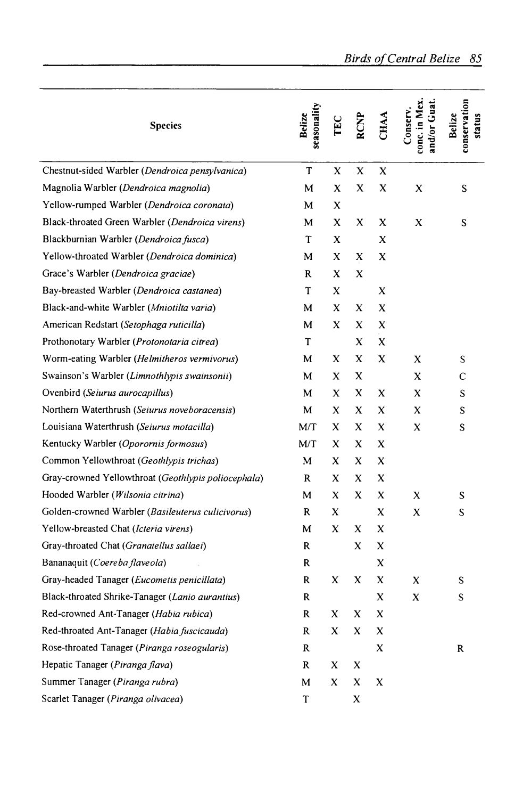|                                                              |                       |     |   |      | <b>Birds of Central Belize</b>               | 85                               |
|--------------------------------------------------------------|-----------------------|-----|---|------|----------------------------------------------|----------------------------------|
|                                                              |                       |     |   |      |                                              |                                  |
| <b>Species</b>                                               | seasonality<br>Belize | TEC |   | CHAA | onc. in Mex<br>and/or Guat<br><b>Conserv</b> | conservation<br>Belize<br>status |
| Chestnut-sided Warbler (Dendroica pensylvanica)              | T                     | X   | x | x    |                                              |                                  |
| Magnolia Warbler (Dendroica magnolia)                        | M                     | X   | x | x    | X                                            | S                                |
| Yellow-rumped Warbler (Dendroica coronata)                   | м                     | x   |   |      |                                              |                                  |
| Black-throated Green Warbler (Dendroica virens)              | M                     | x   | X | x    | X                                            | S                                |
| Blackburnian Warbler (Dendroica fusca)                       | T                     | x   |   | x    |                                              |                                  |
| Yellow-throated Warbler (Dendroica dominica)                 | М                     | X   | x | x    |                                              |                                  |
| Grace's Warbler (Dendroica graciae)                          | R                     | X   | x |      |                                              |                                  |
| Bay-breasted Warbler (Dendroica castanea)                    | Τ                     | x   |   | x    |                                              |                                  |
| Black-and-white Warbler (Mniotilta varia)                    | M                     | X   | x | x    |                                              |                                  |
| American Redstart (Setophaga ruticilla)                      | М                     | x   | x | x    |                                              |                                  |
| Prothonotary Warbler ( <i>Protonotaria citrea</i> )          | T                     |     | x | X    |                                              |                                  |
| Worm-eating Warbler (Helmitheros vermivorus)                 | M                     | x   | x | x    | X                                            | S                                |
| Swainson's Warbler (Limnothlypis swainsonii)                 | M                     | x   | x |      | X                                            | С                                |
| Ovenbird (Seiurus aurocapillus)                              | м                     | x   | x | x    | X                                            | S                                |
| Northern Waterthrush (Seiurus noveboracensis)                | M                     | x   | X | x    | X                                            | S                                |
| Louisiana Waterthrush (Seiurus motacilla)                    | M/T                   | X   | X | x    | x                                            | S                                |
| Kentucky Warbler (Oporornis formosus)                        | M/T                   | X   | X | x    |                                              |                                  |
| Common Yellowthroat (Geothlypis trichas)                     | м                     | x   | x | x    |                                              |                                  |
| Gray-crowned Yellowthroat ( <i>Geothlypis poliocephala</i> ) | R                     | X   | x | x    |                                              |                                  |
| Hooded Warbler ( <i>Wilsonia citrina</i> )                   | M                     | x   | x | x    | X                                            | S                                |
| Golden-crowned Warbler (Basileuterus culicivorus)            | R                     | x   |   | x    | x                                            | S                                |
| Yellow-breasted Chat (Icteria virens)                        | м                     | x   | x | x    |                                              |                                  |
| Gray-throated Chat (Granatellus sallaei)                     | R                     |     | x | X    |                                              |                                  |
| Bananaquit (Coereba flaveola)                                | ĸ                     |     |   | X    |                                              |                                  |
| Gray-headed Tanager (Eucometis penicillata)                  | R                     | x   | x | x    | x                                            | S                                |
| Black-throated Shrike-Tanager (Lanio aurantius)              | R                     |     |   | X    | X                                            | S                                |
| Red-crowned Ant-Tanager (Habia rubica)                       | R                     | X   | X | X    |                                              |                                  |
| Red-throated Ant-Tanager (Habia fuscicauda)                  | R                     | x   | x | x    |                                              |                                  |
| Rose-throated Tanager (Piranga roseogularis)                 | R                     |     |   | X    |                                              | R                                |
| Hepatic Tanager (Piranga flava)                              | R                     | X   | X |      |                                              |                                  |
| Summer Tanager (Piranga rubra)                               | M                     | X   | X | x    |                                              |                                  |
| Scarlet Tanager (Piranga olivacea)                           | T                     |     | X |      |                                              |                                  |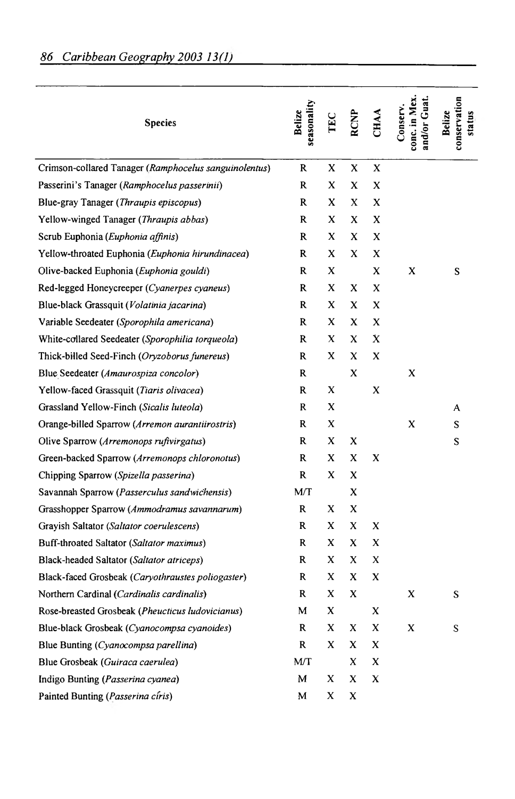| <b>Species</b>                                        | seasonality<br>Belize | TEC | <b>RCNP</b> | <b>CHAA</b> | conc. in Mex<br>und/or Guat<br>Conserv. | conservation<br>Belize<br>status |
|-------------------------------------------------------|-----------------------|-----|-------------|-------------|-----------------------------------------|----------------------------------|
| Crimson-collared Tanager (Ramphocelus sanguinolentus) | R                     | x   | X           | X           |                                         |                                  |
| Passerini's Tanager (Ramphocelus passerinii)          | R                     | X   | x           | X           |                                         |                                  |
| Blue-gray Tanager (Thraupis episcopus)                | R.                    | X   | X           | X           |                                         |                                  |
| Yellow-winged Tanager (Thraupis abbas)                | R                     | x   | X           | X           |                                         |                                  |
| Scrub Euphonia (Euphonia affinis)                     | R                     | X   | x           | X           |                                         |                                  |
| Yellow-throated Euphonia (Euphonia hirundinacea)      | R                     | X   | X           | x           |                                         |                                  |
| Olive-backed Euphonia (Euphonia gouldi)               | R                     | x   |             | x           | x                                       | S                                |
| Red-legged Honeycreeper (Cyanerpes cyaneus)           | R                     | X   | x           | x           |                                         |                                  |
| Blue-black Grassquit (Volatinia jacarina)             | R                     | X   | x           | x           |                                         |                                  |
| Variable Seedeater (Sporophila americana)             | R                     | x   | X           | X           |                                         |                                  |
| White-collared Seedeater (Sporophilia torqueola)      | R                     | X   | X           | X           |                                         |                                  |
| Thick-billed Seed-Finch (Oryzoborus funereus)         | R                     | X   | x           | X           |                                         |                                  |
| Blue Seedeater (Amaurospiza concolor)                 | R                     |     | X           |             | x                                       |                                  |
| Yellow-faced Grassquit (Tiaris olivacea)              | R                     | X   |             | X           |                                         |                                  |
| Grassland Yellow-Finch (Sicalis luteola)              | R                     | X   |             |             |                                         | A                                |
| Orange-billed Sparrow (Arremon aurantiirostris)       | R                     | X   |             |             | X                                       | S                                |
| Olive Sparrow (Arremonops rufivirgatus)               | R                     | X   | X           |             |                                         | S                                |
| Green-backed Sparrow (Arremonops chloronotus)         | R                     | x   | x           | X           |                                         |                                  |
| Chipping Sparrow (Spizella passerina)                 | R                     | x   | X           |             |                                         |                                  |
| Savannah Sparrow (Passerculus sandwichensis)          | M/T                   |     | X           |             |                                         |                                  |
| Grasshopper Sparrow (Ammodramus savannarum)           | R                     | x   | x           |             |                                         |                                  |
| Grayish Saltator (Saltator coerulescens)              | R                     | x   | X           | X           |                                         |                                  |
| Buff-throated Saltator (Saltator maximus)             | R                     | x   | x           | X           |                                         |                                  |
| Black-headed Saltator (Saltator atriceps)             | R                     | x   | x           | X           |                                         |                                  |
| Black-faced Grosbeak (Caryothraustes poliogaster)     | R                     | x   | x           | X           |                                         |                                  |
| Northern Cardinal (Cardinalis cardinalis)             | R                     | x   | x           |             | X                                       | S                                |
| Rose-breasted Grosbeak (Pheucticus ludovicianus)      | M                     | x   |             | X           |                                         |                                  |
| Blue-black Grosbeak (Cyanocompsa cyanoides)           | R                     | x   | x           | x           | X                                       | S                                |
| Blue Bunting (Cyanocompsa parellina)                  | R                     | x   | x           | X           |                                         |                                  |
| Blue Grosbeak (Guiraca caerulea)                      | M/T                   |     | X           | X           |                                         |                                  |
| Indigo Bunting (Passerina cyanea)                     | M                     | X   | x           | X           |                                         |                                  |
| Painted Bunting (Passerina ciris)                     | M                     | X   | x           |             |                                         |                                  |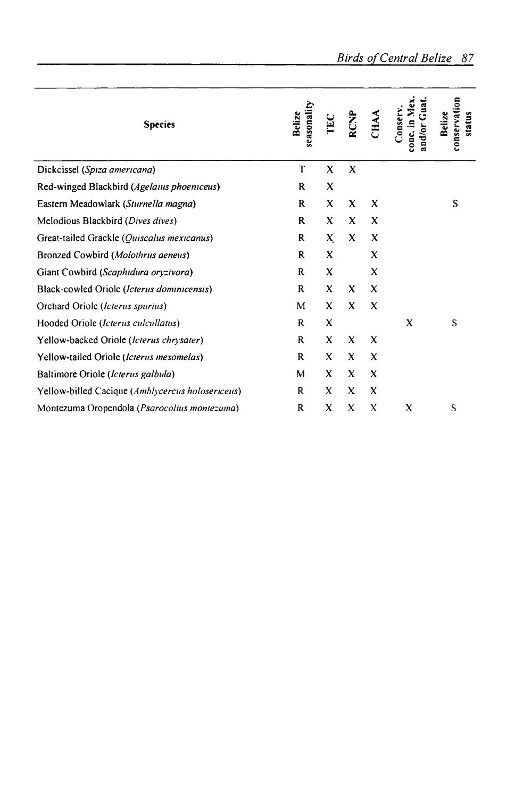| <b>Species</b>                                        | seasonality<br>Belize | EC | <b>RCNP</b>               | CHAA                      | ទី<br>Mex.<br>.onserv.<br>conc. in | conservation<br>Belize<br>status |
|-------------------------------------------------------|-----------------------|----|---------------------------|---------------------------|------------------------------------|----------------------------------|
| Dickcissel (Spiza americana)                          | T                     | X  | $\boldsymbol{\mathsf{x}}$ |                           |                                    |                                  |
| Red-winged Blackbird (Agelaius phoeniceus)            | R                     | X  |                           |                           |                                    |                                  |
| Eastern Meadowlark (Sturnella magna)                  | R                     | x  | X                         | X                         |                                    | S                                |
| Melodious Blackbird (Dives dives)                     | R                     | X  | X                         | x                         |                                    |                                  |
| Great-tailed Grackle (Quiscalus mexicanus)            | R                     | X. | X                         | X                         |                                    |                                  |
| Bronzed Cowbird (Molothrus aeneus)                    | R                     | X  |                           | X                         |                                    |                                  |
| Giant Cowbird (Scaphidura oryzivora)                  | R                     | X  |                           | X                         |                                    |                                  |
| Black-cowled Oriole (Icterus dominicensis)            | R                     | X  | X                         | X                         |                                    |                                  |
| Orchard Oriole (Icterus spurius)                      | M                     | X  | X                         | X                         |                                    |                                  |
| Hooded Oriole (Icterus culcullatus)                   | R                     | X  |                           |                           | X                                  | S                                |
| Yellow-backed Oriole (Icterus chrysater)              | R                     | X  | X                         | X                         |                                    |                                  |
| Yellow-tailed Oriole (Icterus mesomelas)              | R                     | X  | X                         | X                         |                                    |                                  |
| Baltimore Oriole (Icterus galbula)                    | M                     | X  | X                         | X                         |                                    |                                  |
| Yellow-billed Cacique (Amblycercus holosericeus)      | R                     | X  | x                         | X                         |                                    |                                  |
| Montezuma Oropendola ( <i>Psarocolius montezuma</i> ) | R                     | X  | X                         | $\boldsymbol{\mathsf{x}}$ | X                                  | S                                |